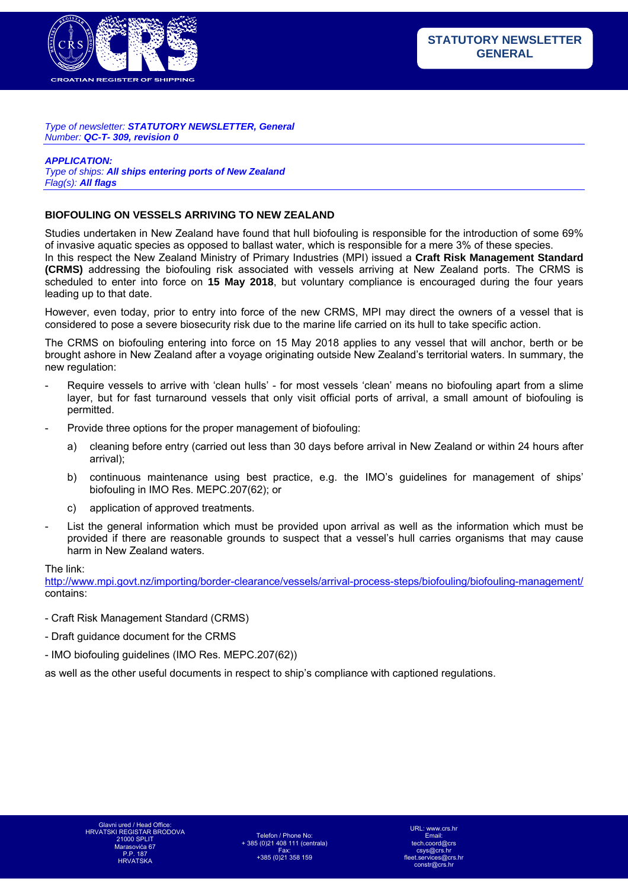#### *Type of newsletter: STATUTORY NEWSLETTER, General Number: QC-T- 309, revision 0*

### *APPLICATION:*

*Type of ships: All ships entering ports of New Zealand Flag(s): All flags*

## **BIOFOULING ON VESSELS ARRIVING TO NEW ZEALAND**

Studies undertaken in New Zealand have found that hull biofouling is responsible for the introduction of some 69% of invasive aquatic species as opposed to ballast water, which is responsible for a mere 3% of these species.

In this respect the New Zealand Ministry of Primary Industries (MPI) issued a **Craft Risk Management Standard (CRMS)** addressing the biofouling risk associated with vessels arriving at New Zealand ports. The CRMS is scheduled to enter into force on **15 May 2018**, but voluntary compliance is encouraged during the four years leading up to that date.

However, even today, prior to entry into force of the new CRMS, MPI may direct the owners of a vessel that is considered to pose a severe biosecurity risk due to the marine life carried on its hull to take specific action.

The CRMS on biofouling entering into force on 15 May 2018 applies to any vessel that will anchor, berth or be brought ashore in New Zealand after a voyage originating outside New Zealand's territorial waters. In summary, the new regulation:

- Require vessels to arrive with 'clean hulls' for most vessels 'clean' means no biofouling apart from a slime layer, but for fast turnaround vessels that only visit official ports of arrival, a small amount of biofouling is permitted.
- Provide three options for the proper management of biofouling:
	- a) cleaning before entry (carried out less than 30 days before arrival in New Zealand or within 24 hours after arrival);
	- b) continuous maintenance using best practice, e.g. the IMO's guidelines for management of ships' biofouling in IMO Res. MEPC.207(62); or
	- c) application of approved treatments.
- List the general information which must be provided upon arrival as well as the information which must be provided if there are reasonable grounds to suspect that a vessel's hull carries organisms that may cause harm in New Zealand waters.

### The link:

http://www.mpi.govt.nz/importing/border-clearance/vessels/arrival-process-steps/biofouling/biofouling-management/ contains:

- Craft Risk Management Standard (CRMS)
- Draft guidance document for the CRMS
- IMO biofouling guidelines (IMO Res. MEPC.207(62))

as well as the other useful documents in respect to ship's compliance with captioned regulations.